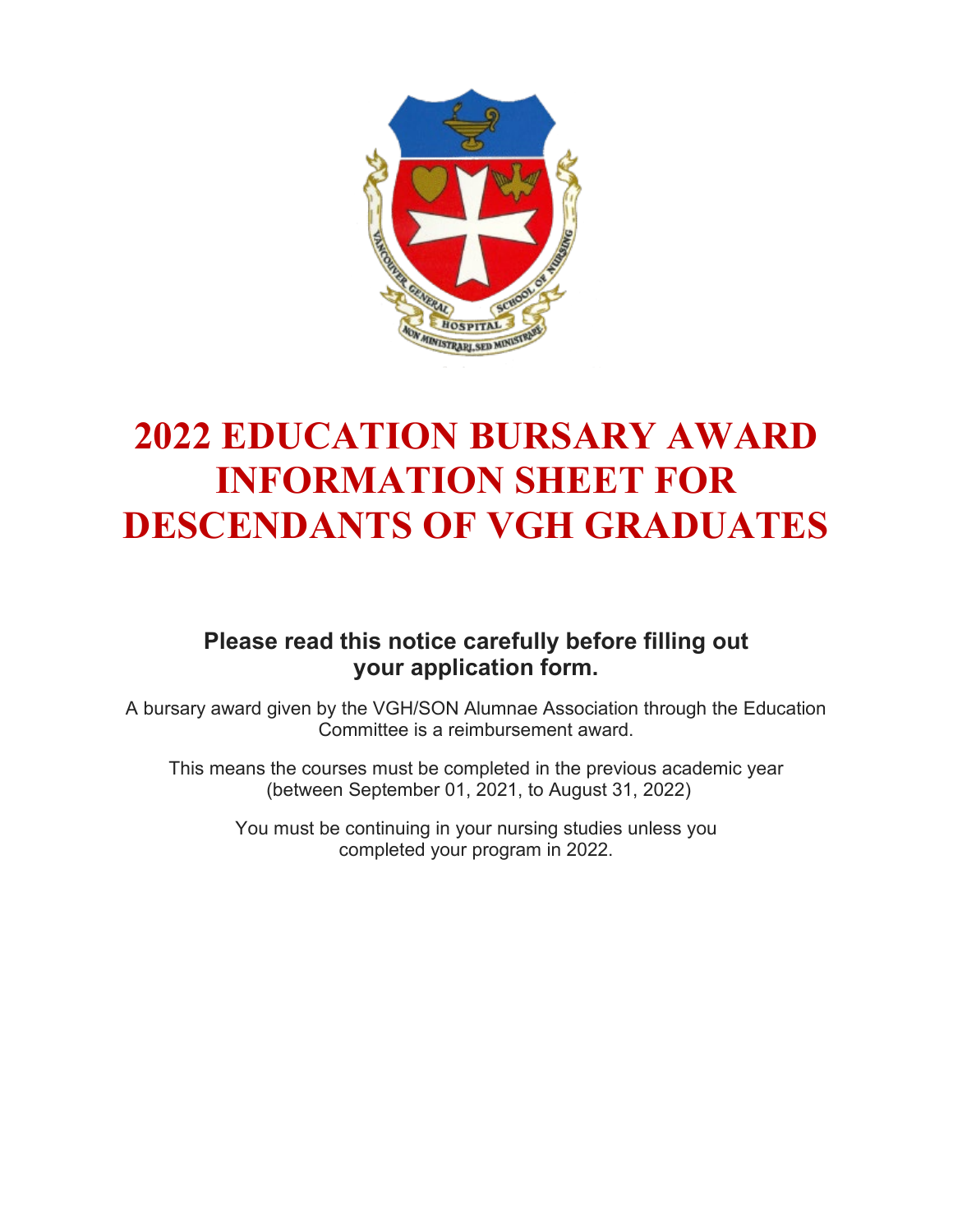

# **2022 EDUCATION BURSARY AWARD INFORMATION SHEET FOR DESCENDANTS OF VGH GRADUATES**

## **Please read this notice carefully before filling out your application form.**

A bursary award given by the VGH/SON Alumnae Association through the Education Committee is a reimbursement award.

This means the courses must be completed in the previous academic year (between September 01, 2021, to August 31, 2022)

> You must be continuing in your nursing studies unless you completed your program in 2022.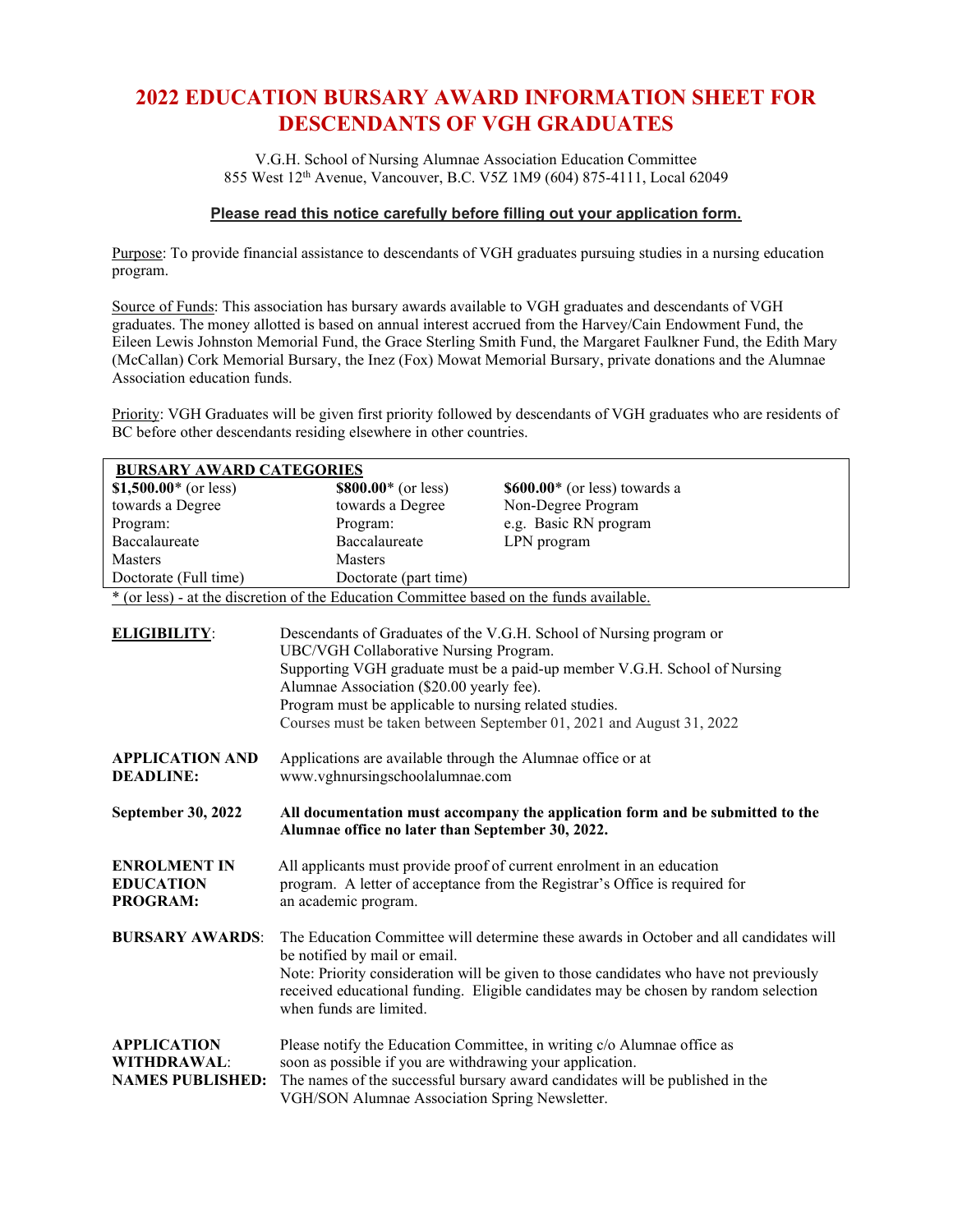## **2022 EDUCATION BURSARY AWARD INFORMATION SHEET FOR DESCENDANTS OF VGH GRADUATES**

V.G.H. School of Nursing Alumnae Association Education Committee 855 West 12th Avenue, Vancouver, B.C. V5Z 1M9 (604) 875-4111, Local 62049

#### **Please read this notice carefully before filling out your application form.**

Purpose: To provide financial assistance to descendants of VGH graduates pursuing studies in a nursing education program.

Source of Funds: This association has bursary awards available to VGH graduates and descendants of VGH graduates. The money allotted is based on annual interest accrued from the Harvey/Cain Endowment Fund, the Eileen Lewis Johnston Memorial Fund, the Grace Sterling Smith Fund, the Margaret Faulkner Fund, the Edith Mary (McCallan) Cork Memorial Bursary, the Inez (Fox) Mowat Memorial Bursary, private donations and the Alumnae Association education funds.

Priority: VGH Graduates will be given first priority followed by descendants of VGH graduates who are residents of BC before other descendants residing elsewhere in other countries.

| <b>BURSARY AWARD CATEGORIES</b>                                     |                                                                                                                                                                                                                                                                                                                                                                           |                                |  |  |  |
|---------------------------------------------------------------------|---------------------------------------------------------------------------------------------------------------------------------------------------------------------------------------------------------------------------------------------------------------------------------------------------------------------------------------------------------------------------|--------------------------------|--|--|--|
| \$1,500.00 $*$ (or less)                                            | $$800.00*(or less)$                                                                                                                                                                                                                                                                                                                                                       | $$600.00*$ (or less) towards a |  |  |  |
| towards a Degree                                                    | towards a Degree                                                                                                                                                                                                                                                                                                                                                          | Non-Degree Program             |  |  |  |
| Program:                                                            | Program:                                                                                                                                                                                                                                                                                                                                                                  | e.g. Basic RN program          |  |  |  |
| Baccalaureate                                                       | Baccalaureate                                                                                                                                                                                                                                                                                                                                                             | LPN program                    |  |  |  |
| <b>Masters</b>                                                      | <b>Masters</b>                                                                                                                                                                                                                                                                                                                                                            |                                |  |  |  |
| Doctorate (Full time)                                               | Doctorate (part time)                                                                                                                                                                                                                                                                                                                                                     |                                |  |  |  |
|                                                                     | * (or less) - at the discretion of the Education Committee based on the funds available.                                                                                                                                                                                                                                                                                  |                                |  |  |  |
| <b>ELIGIBILITY:</b>                                                 | Descendants of Graduates of the V.G.H. School of Nursing program or<br>UBC/VGH Collaborative Nursing Program.<br>Supporting VGH graduate must be a paid-up member V.G.H. School of Nursing<br>Alumnae Association (\$20.00 yearly fee).<br>Program must be applicable to nursing related studies.<br>Courses must be taken between September 01, 2021 and August 31, 2022 |                                |  |  |  |
| <b>APPLICATION AND</b><br><b>DEADLINE:</b>                          | Applications are available through the Alumnae office or at<br>www.vghnursingschoolalumnae.com                                                                                                                                                                                                                                                                            |                                |  |  |  |
| September 30, 2022                                                  | All documentation must accompany the application form and be submitted to the<br>Alumnae office no later than September 30, 2022.                                                                                                                                                                                                                                         |                                |  |  |  |
| <b>ENROLMENT IN</b><br><b>EDUCATION</b><br><b>PROGRAM:</b>          | All applicants must provide proof of current enrolment in an education<br>program. A letter of acceptance from the Registrar's Office is required for<br>an academic program.                                                                                                                                                                                             |                                |  |  |  |
| <b>BURSARY AWARDS:</b>                                              | The Education Committee will determine these awards in October and all candidates will<br>be notified by mail or email.<br>Note: Priority consideration will be given to those candidates who have not previously<br>received educational funding. Eligible candidates may be chosen by random selection<br>when funds are limited.                                       |                                |  |  |  |
| <b>APPLICATION</b><br><b>WITHDRAWAL:</b><br><b>NAMES PUBLISHED:</b> | Please notify the Education Committee, in writing c/o Alumnae office as<br>soon as possible if you are withdrawing your application.<br>The names of the successful bursary award candidates will be published in the<br>VGH/SON Alumnae Association Spring Newsletter.                                                                                                   |                                |  |  |  |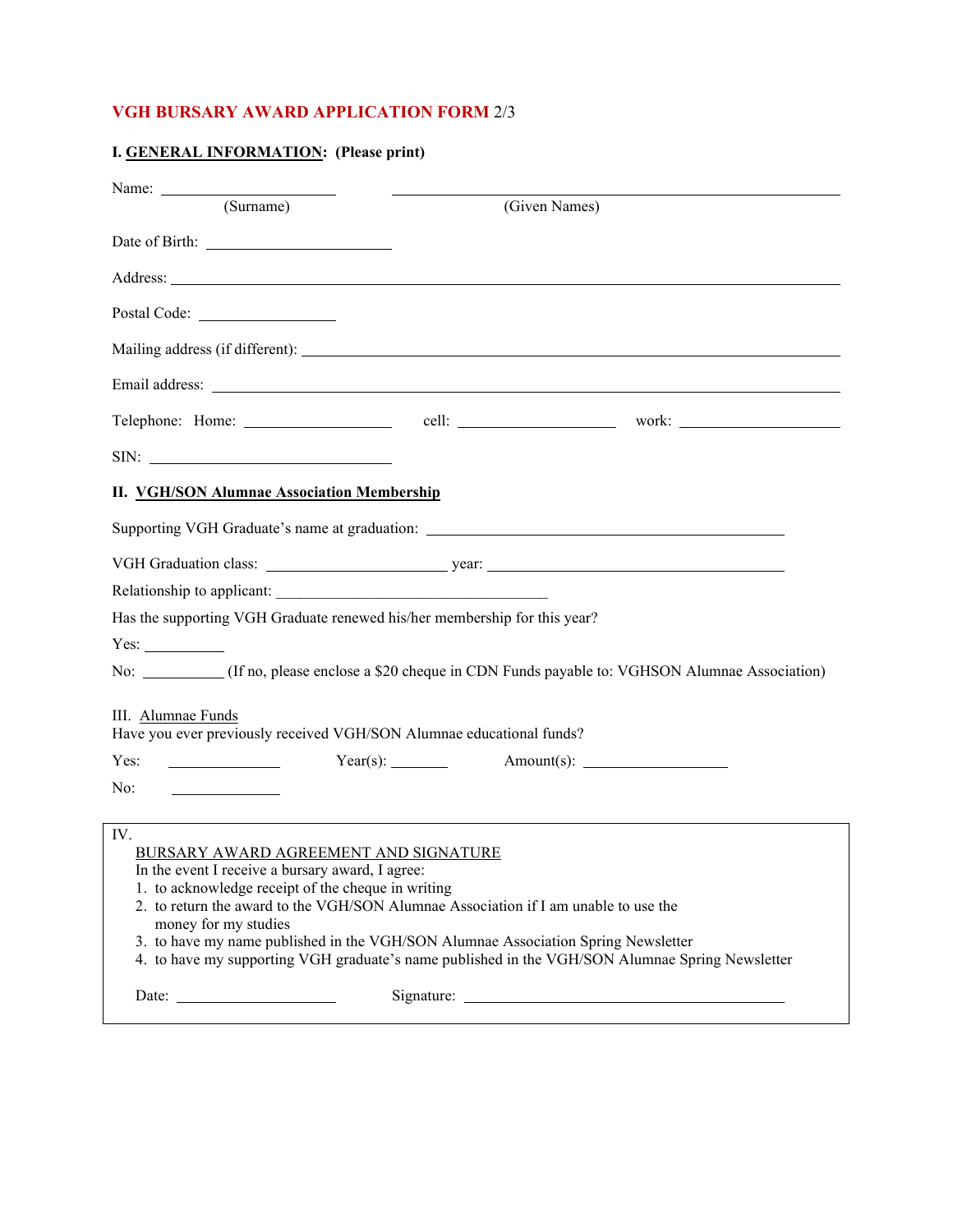### **VGH BURSARY AWARD APPLICATION FORM** 2/3

|  |  | I. GENERAL INFORMATION: (Please print) |  |  |
|--|--|----------------------------------------|--|--|
|--|--|----------------------------------------|--|--|

| Name: $\frac{1}{\sqrt{1-\frac{1}{2}} \cdot \frac{1}{2}}$                                                                                                                       |                                                                                                                                                                                                                                                                             |
|--------------------------------------------------------------------------------------------------------------------------------------------------------------------------------|-----------------------------------------------------------------------------------------------------------------------------------------------------------------------------------------------------------------------------------------------------------------------------|
| $\overline{\text{(Surname)}}$                                                                                                                                                  | (Given Names)                                                                                                                                                                                                                                                               |
|                                                                                                                                                                                |                                                                                                                                                                                                                                                                             |
|                                                                                                                                                                                | Address: Note that the contract of the contract of the contract of the contract of the contract of the contract of the contract of the contract of the contract of the contract of the contract of the contract of the contrac                                              |
|                                                                                                                                                                                |                                                                                                                                                                                                                                                                             |
|                                                                                                                                                                                | Mailing address (if different):                                                                                                                                                                                                                                             |
|                                                                                                                                                                                |                                                                                                                                                                                                                                                                             |
|                                                                                                                                                                                |                                                                                                                                                                                                                                                                             |
|                                                                                                                                                                                |                                                                                                                                                                                                                                                                             |
| <b>II.</b> VGH/SON Alumnae Association Membership                                                                                                                              |                                                                                                                                                                                                                                                                             |
|                                                                                                                                                                                | Supporting VGH Graduate's name at graduation: ___________________________________                                                                                                                                                                                           |
|                                                                                                                                                                                |                                                                                                                                                                                                                                                                             |
| Relationship to applicant:                                                                                                                                                     |                                                                                                                                                                                                                                                                             |
| Has the supporting VGH Graduate renewed his/her membership for this year?                                                                                                      |                                                                                                                                                                                                                                                                             |
|                                                                                                                                                                                |                                                                                                                                                                                                                                                                             |
|                                                                                                                                                                                | No: (If no, please enclose a \$20 cheque in CDN Funds payable to: VGHSON Alumnae Association)                                                                                                                                                                               |
| III. Alumnae Funds<br>Have you ever previously received VGH/SON Alumnae educational funds?                                                                                     |                                                                                                                                                                                                                                                                             |
| Yes:<br><u> Albanya (Albanya)</u>                                                                                                                                              |                                                                                                                                                                                                                                                                             |
| No:<br><u> 1989 - Andrea Station Books, amerikansk politiker (</u>                                                                                                             |                                                                                                                                                                                                                                                                             |
| IV.<br>BURSARY AWARD AGREEMENT AND SIGNATURE<br>In the event I receive a bursary award, I agree:<br>1. to acknowledge receipt of the cheque in writing<br>money for my studies | 2. to return the award to the VGH/SON Alumnae Association if I am unable to use the<br>3. to have my name published in the VGH/SON Alumnae Association Spring Newsletter<br>4. to have my supporting VGH graduate's name published in the VGH/SON Alumnae Spring Newsletter |
|                                                                                                                                                                                |                                                                                                                                                                                                                                                                             |